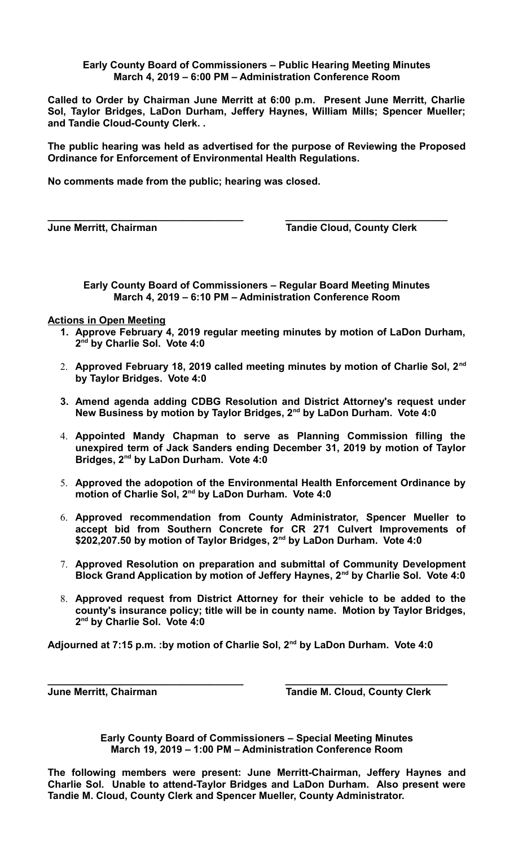## **Early County Board of Commissioners – Public Hearing Meeting Minutes March 4, 2019 – 6:00 PM – Administration Conference Room**

**Called to Order by Chairman June Merritt at 6:00 p.m. Present June Merritt, Charlie Sol, Taylor Bridges, LaDon Durham, Jeffery Haynes, William Mills; Spencer Mueller; and Tandie Cloud-County Clerk. .** 

**The public hearing was held as advertised for the purpose of Reviewing the Proposed Ordinance for Enforcement of Environmental Health Regulations.**

**\_\_\_\_\_\_\_\_\_\_\_\_\_\_\_\_\_\_\_\_\_\_\_\_\_\_\_\_\_\_\_\_\_\_\_ \_\_\_\_\_\_\_\_\_\_\_\_\_\_\_\_\_\_\_\_\_\_\_\_\_\_\_\_\_**

**No comments made from the public; hearing was closed.**

**June Merritt, Chairman Tandie Cloud, County Clerk** 

**Early County Board of Commissioners – Regular Board Meeting Minutes March 4, 2019 – 6:10 PM – Administration Conference Room**

## **Actions in Open Meeting**

- **1. Approve February 4, 2019 regular meeting minutes by motion of LaDon Durham, 2 nd by Charlie Sol. Vote 4:0**
- 2. **Approved February 18, 2019 called meeting minutes by motion of Charlie Sol, 2nd by Taylor Bridges. Vote 4:0**
- **3. Amend agenda adding CDBG Resolution and District Attorney's request under New Business by motion by Taylor Bridges, 2nd by LaDon Durham. Vote 4:0**
- 4. **Appointed Mandy Chapman to serve as Planning Commission filling the unexpired term of Jack Sanders ending December 31, 2019 by motion of Taylor Bridges, 2nd by LaDon Durham. Vote 4:0**
- 5. **Approved the adopotion of the Environmental Health Enforcement Ordinance by motion of Charlie Sol, 2nd by LaDon Durham. Vote 4:0**
- 6. **Approved recommendation from County Administrator, Spencer Mueller to accept bid from Southern Concrete for CR 271 Culvert Improvements of \$202,207.50 by motion of Taylor Bridges, 2nd by LaDon Durham. Vote 4:0**
- 7. **Approved Resolution on preparation and submittal of Community Development Block Grand Application by motion of Jeffery Haynes, 2nd by Charlie Sol. Vote 4:0**
- 8. **Approved request from District Attorney for their vehicle to be added to the county's insurance policy; title will be in county name. Motion by Taylor Bridges, 2 nd by Charlie Sol. Vote 4:0**

**Adjourned at 7:15 p.m. :by motion of Charlie Sol, 2nd by LaDon Durham. Vote 4:0**

**\_\_\_\_\_\_\_\_\_\_\_\_\_\_\_\_\_\_\_\_\_\_\_\_\_\_\_\_\_\_\_\_\_\_\_ \_\_\_\_\_\_\_\_\_\_\_\_\_\_\_\_\_\_\_\_\_\_\_\_\_\_\_\_\_ June Merritt, Chairman Tandie M. Cloud, County Clerk**

> **Early County Board of Commissioners – Special Meeting Minutes March 19, 2019 – 1:00 PM – Administration Conference Room**

**The following members were present: June Merritt-Chairman, Jeffery Haynes and Charlie Sol. Unable to attend-Taylor Bridges and LaDon Durham. Also present were Tandie M. Cloud, County Clerk and Spencer Mueller, County Administrator.**